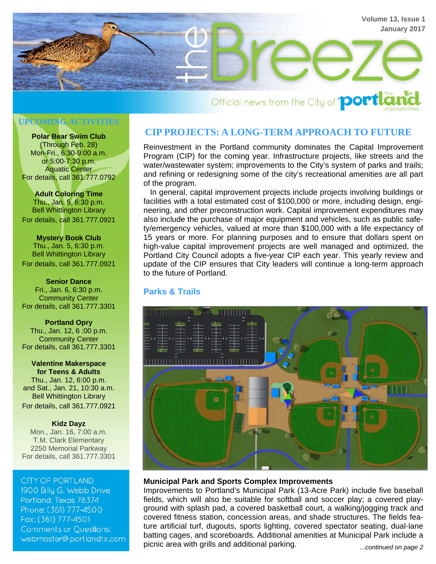

# Official news from the City of **portla**

#### **UPCOMING ACTIVITIES**

**Polar Bear Swim Club**  (Through Feb. 28) Mon-Fri., 6:30-9:00 a.m. or 5:00-7:30 p.m. Aquatic Center For details, call 361.777.0792

**Adult Coloring Time**  Thu., Jan. 5, 6:30 p.m. Bell Whittington Library For details, call 361.777.0921

**Mystery Book Club**  Thu., Jan. 5, 6:30 p.m. Bell Whittington Library For details, call 361.777.0921

**Senior Dance**  Fri., Jan. 6, 6:30 p.m. Community Center For details, call 361.777.3301

**Portland Opry**  Thu., Jan. 12, 6 :00 p.m. Community Center For details, call 361.777.3301

**Valentine Makerspace for Teens & Adults**  Thu., Jan. 12, 6:00 p.m. and Sat., Jan. 21, 10:30 a.m. Bell Whittington Library For details, call 361.777.0921

**Kidz Dayz**  Mon., Jan. 16, 7:00 a.m. T.M. Clark Elementary

2250 Memorial Parkway For details, call 361.777.3301

**CITY OF PORTLAND** 1900 Billu G. Webb Drive Portland, Texas 78374 Phone: (361) 777-4500 Fax: (361) 777-4501 **Comments or Questions:** webmaster@portlandtx.com

# **CIP PROJECTS: A LONG-TERM APPROACH TO FUTURE**

Reinvestment in the Portland community dominates the Capital Improvement Program (CIP) for the coming year. Infrastructure projects, like streets and the water/wastewater system; improvements to the City's system of parks and trails; and refining or redesigning some of the city's recreational amenities are all part of the program.

 In general, capital improvement projects include projects involving buildings or facilities with a total estimated cost of \$100,000 or more, including design, engineering, and other preconstruction work. Capital improvement expenditures may also include the purchase of major equipment and vehicles, such as public safety/emergency vehicles, valued at more than \$100,000 with a life expectancy of 15 years or more. For planning purposes and to ensure that dollars spent on high-value capital improvement projects are well managed and optimized, the Portland City Council adopts a five-year CIP each year. This yearly review and update of the CIP ensures that City leaders will continue a long-term approach to the future of Portland.

# **Parks & Trails**



#### **Municipal Park and Sports Complex Improvements**

Improvements to Portland's Municipal Park (13-Acre Park) include five baseball fields, which will also be suitable for softball and soccer play; a covered playground with splash pad, a covered basketball court, a walking/jogging track and covered fitness station, concession areas, and shade structures. The fields feature artificial turf, dugouts, sports lighting, covered spectator seating, dual-lane batting cages, and scoreboards. Additional amenities at Municipal Park include a picnic area with grills and additional parking. *...continued on page 2*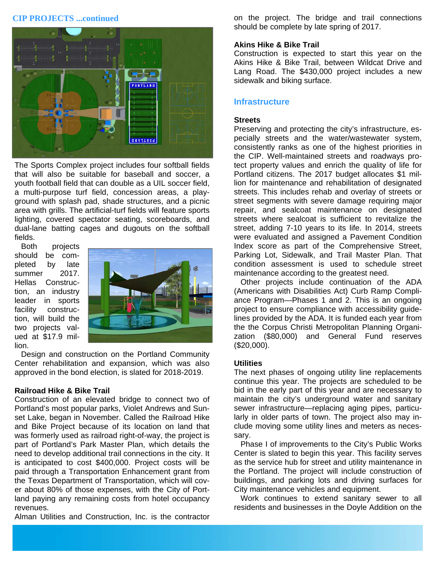### **CIP PROJECTS ...continued**



The Sports Complex project includes four softball fields that will also be suitable for baseball and soccer, a youth football field that can double as a UIL soccer field, a multi-purpose turf field, concession areas, a playground with splash pad, shade structures, and a picnic area with grills. The artificial-turf fields will feature sports lighting, covered spectator seating, scoreboards, and dual-lane batting cages and dugouts on the softball fields.

 Both projects should be completed by late summer 2017. Hellas Construction, an industry leader in sports facility construction, will build the two projects valued at \$17.9 million.



 Design and construction on the Portland Community Center rehabilitation and expansion, which was also approved in the bond election, is slated for 2018-2019.

#### **Railroad Hike & Bike Trail**

Construction of an elevated bridge to connect two of Portland's most popular parks, Violet Andrews and Sunset Lake, began in November. Called the Railroad Hike and Bike Project because of its location on land that was formerly used as railroad right-of-way, the project is part of Portland's Park Master Plan, which details the need to develop additional trail connections in the city. It is anticipated to cost \$400,000. Project costs will be paid through a Transportation Enhancement grant from the Texas Department of Transportation, which will cover about 80% of those expenses, with the City of Portland paying any remaining costs from hotel occupancy revenues.

Alman Utilities and Construction, Inc. is the contractor

on the project. The bridge and trail connections should be complete by late spring of 2017.

#### **Akins Hike & Bike Trail**

Construction is expected to start this year on the Akins Hike & Bike Trail, between Wildcat Drive and Lang Road. The \$430,000 project includes a new sidewalk and biking surface.

#### **Infrastructure**

#### **Streets**

Preserving and protecting the city's infrastructure, especially streets and the water/wastewater system, consistently ranks as one of the highest priorities in the CIP. Well-maintained streets and roadways protect property values and enrich the quality of life for Portland citizens. The 2017 budget allocates \$1 million for maintenance and rehabilitation of designated streets. This includes rehab and overlay of streets or street segments with severe damage requiring major repair, and sealcoat maintenance on designated streets where sealcoat is sufficient to revitalize the street, adding 7-10 years to its life. In 2014, streets were evaluated and assigned a Pavement Condition Index score as part of the Comprehensive Street, Parking Lot, Sidewalk, and Trail Master Plan. That condition assessment is used to schedule street maintenance according to the greatest need.

 Other projects include continuation of the ADA (Americans with Disabilities Act) Curb Ramp Compliance Program—Phases 1 and 2. This is an ongoing project to ensure compliance with accessibility guidelines provided by the ADA. It is funded each year from the the Corpus Christi Metropolitan Planning Organization (\$80,000) and General Fund reserves (\$20,000).

#### **Utilities**

The next phases of ongoing utility line replacements continue this year. The projects are scheduled to be bid in the early part of this year and are necessary to maintain the city's underground water and sanitary sewer infrastructure—replacing aging pipes, particularly in older parts of town. The project also may include moving some utility lines and meters as necessary.

 Phase I of improvements to the City's Public Works Center is slated to begin this year. This facility serves as the service hub for street and utility maintenance in the Portland. The project will include construction of buildings, and parking lots and driving surfaces for City maintenance vehicles and equipment.

 Work continues to extend sanitary sewer to all residents and businesses in the Doyle Addition on the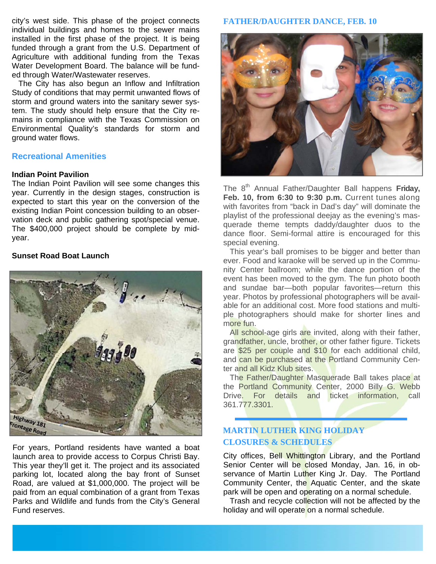city's west side. This phase of the project connects individual buildings and homes to the sewer mains installed in the first phase of the project. It is being funded through a grant from the U.S. Department of Agriculture with additional funding from the Texas Water Development Board. The balance will be funded through Water/Wastewater reserves.

 The City has also begun an Inflow and Infiltration Study of conditions that may permit unwanted flows of storm and ground waters into the sanitary sewer system. The study should help ensure that the City remains in compliance with the Texas Commission on Environmental Quality's standards for storm and ground water flows.

#### **Recreational Amenities**

#### **Indian Point Pavilion**

The Indian Point Pavilion will see some changes this year. Currently in the design stages, construction is expected to start this year on the conversion of the existing Indian Point concession building to an observation deck and public gathering spot/special venue. The \$400,000 project should be complete by midyear.

#### **Sunset Road Boat Launch**



For years, Portland residents have wanted a boat launch area to provide access to Corpus Christi Bay. This year they'll get it. The project and its associated parking lot, located along the bay front of Sunset Road, are valued at \$1,000,000. The project will be paid from an equal combination of a grant from Texas Parks and Wildlife and funds from the City's General Fund reserves.

#### **FATHER/DAUGHTER DANCE, FEB. 10**



The 8<sup>th</sup> Annual Father/Daughter Ball happens Friday, **Feb. 10, from 6:30 to 9:30 p.m.** Current tunes along with favorites from "back in Dad's day" will dominate the playlist of the professional deejay as the evening's masquerade theme tempts daddy/daughter duos to the dance floor. Semi-formal attire is encouraged for this special evening.

 This year's ball promises to be bigger and better than ever. Food and karaoke will be served up in the Community Center ballroom; while the dance portion of the event has been moved to the gym. The fun photo booth and sundae bar—both popular favorites—return this year. Photos by professional photographers will be available for an additional cost. More food stations and multiple photographers should make for shorter lines and more fun.

All school-age girls are invited, along with their father, grandfather, uncle, brother, or other father figure. Tickets are \$25 per couple and \$10 for each additional child, and can be purchased at the Portland Community Center and all Kidz Klub sites.

 The Father/Daughter Masquerade Ball takes place at the Portland Community Center, 2000 Billy G. Webb Drive. For details and ticket information, call 361.777.3301.

# **MARTIN LUTHER KING HOLIDAY CLOSURES & SCHEDULES**

City offices, Bell Whittington Library, and the Portland Senior Center will be closed Monday, Jan. 16, in observance of Martin Luther King Jr. Day. The Portland Community Center, the Aquatic Center, and the skate park will be open and operating on a normal schedule.

 Trash and recycle collection will not be affected by the holiday and will operate on a normal schedule.